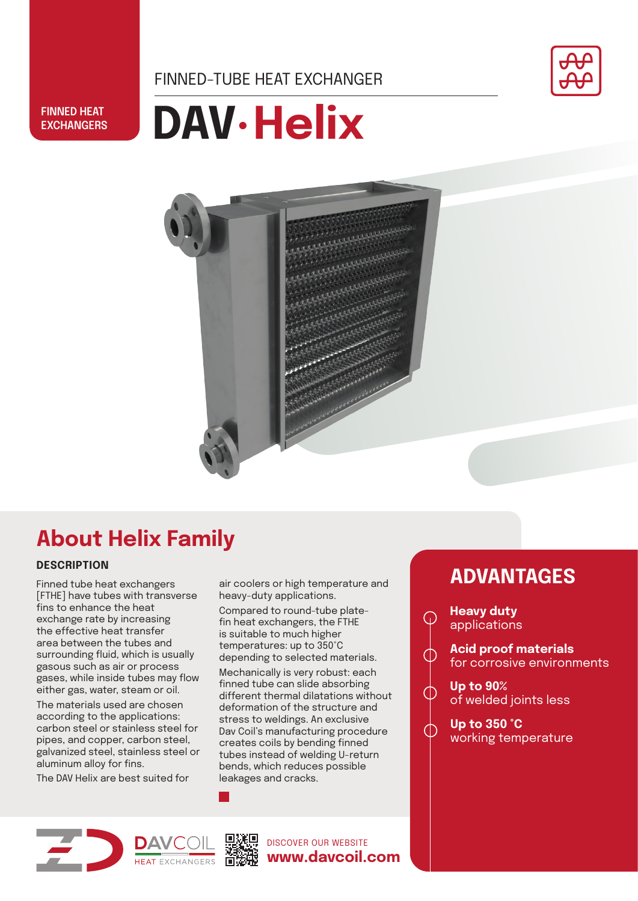FINNED-TUBE HEAT EXCHANGER



#### **FINNED HEAT EXCHANGERS**

# **DAV.Helix**



## **About Helix Family**

### **DESCRIPTION**

Finned tube heat exchangers [FTHE] have tubes with transverse fins to enhance the heat exchange rate by increasing the effective heat transfer area between the tubes and surrounding fluid, which is usually gasous such as air or process gases, while inside tubes may flow either gas, water, steam or oil.

The materials used are chosen according to the applications: carbon steel or stainless steel for pipes, and copper, carbon steel, galvanized steel, stainless steel or aluminum alloy for fins.

The DAV Helix are best suited for

air coolers or high temperature and heavy-duty applications.

Compared to round-tube platefin heat exchangers, the FTHE is suitable to much higher temperatures: up to 350°C depending to selected materials.

Mechanically is very robust: each finned tube can slide absorbing different thermal dilatations without deformation of the structure and stress to weldings. An exclusive Dav Coil's manufacturing procedure creates coils by bending finned tubes instead of welding U-return bends, which reduces possible leakages and cracks.

## **ADVANTAGES**

**Heavy duty** applications

⋒

∩

∩

**Acid proof materials**  for corrosive environments

**Up to 90%** of welded joints less

**Up to 350 °C** working temperature



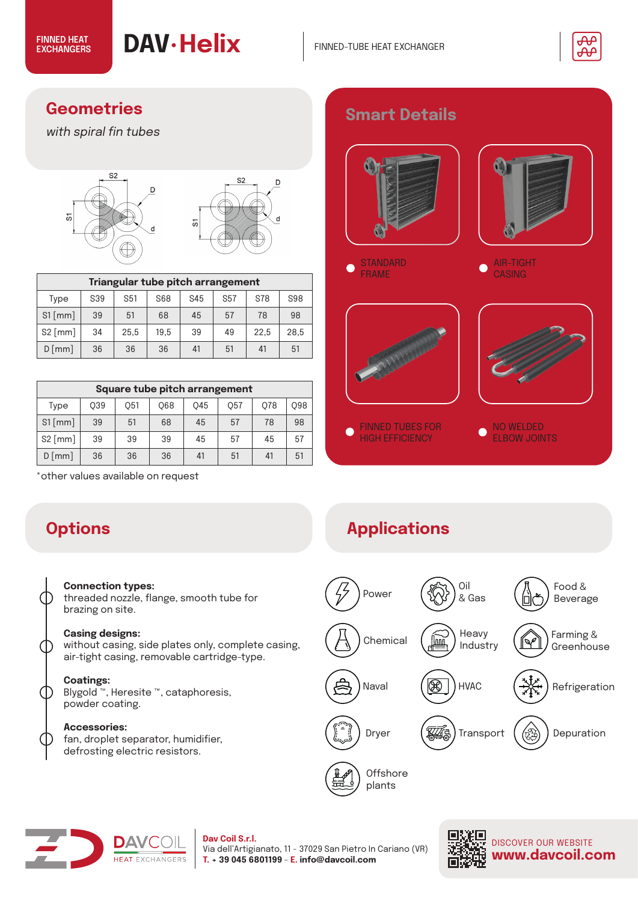

## **Geometries**

with spiral fin tubes



| Triangular tube pitch arrangement |     |            |      |     |            |            |      |  |  |  |
|-----------------------------------|-----|------------|------|-----|------------|------------|------|--|--|--|
| Type                              | S39 | S68<br>S51 |      | S45 | <b>S57</b> | <b>S78</b> | S98  |  |  |  |
| $S1$ [mm]                         | 39  | 51         | 68   | 45  | 57         | 78         | 98   |  |  |  |
| $S2$ [mm]                         | 34  | 25,5       | 19.5 | 39  | 49         | 22.5       | 28.5 |  |  |  |
| $D$ [mm]<br>36                    |     | 36         | 36   | 41  | 51         | 41         | 51   |  |  |  |

| Square tube pitch arrangement |     |     |     |     |     |    |            |  |  |  |
|-------------------------------|-----|-----|-----|-----|-----|----|------------|--|--|--|
| Type                          | O39 | 051 | 068 | O45 | 057 |    | <b>Q98</b> |  |  |  |
| $S1$ [mm]                     | 39  | 51  | 68  | 45  | 57  | 78 | 98         |  |  |  |
| $S2$ [mm]                     | 39  | 39  | 39  | 45  | 57  | 45 | 57         |  |  |  |
| $D$ [mm]<br>36                |     | 36  | 36  | 41  | 51  | 41 | 51         |  |  |  |

\*other values available on request

#### **Connection types:**

threaded nozzle, flange, smooth tube for brazing on site.

#### **Casing designs:**

without casing, side plates only, complete casing, air-tight casing, removable cartridge-type.

#### **Coatings:**

 $\bigcap$ 

 $\bigcirc$ 

Blygold ™, Heresite ™, cataphoresis, powder coating.

#### **Accessories:**

fan, droplet separator, humidifier, defrosting electric resistors.



## **Options Applications**





## **Dav Coil S.r.l.**

Via dell'Artigianato, 11 - 37029 San Pietro In Cariano (VR) **T. + 39 045 6801199** - **E. info@davcoil.com**



DISCOVER OUR WEBSITE **www.davcoil.com**